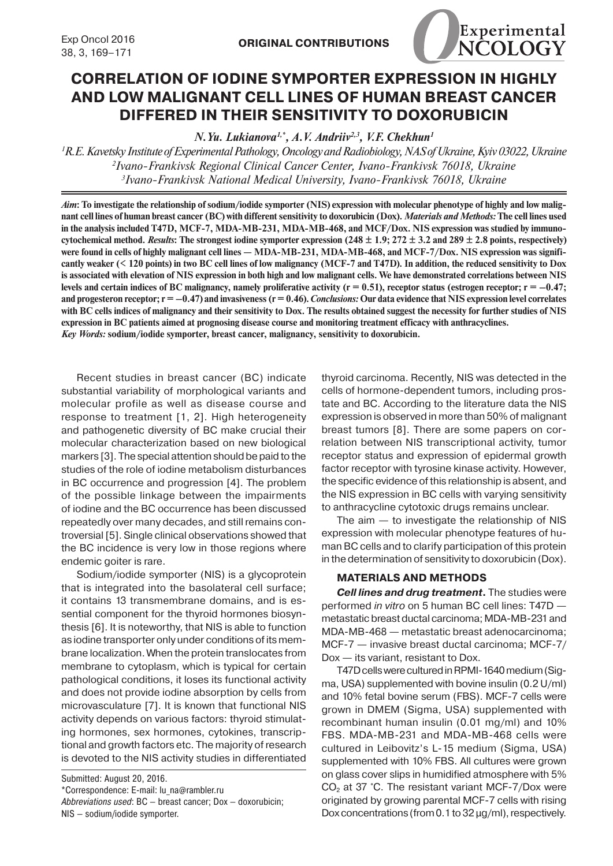

## **CORRELATION OF IODINE SYMPORTER EXPRESSION IN HIGHLY AND LOW MALIGNANT CELL LINES OF HUMAN BREAST CANCER DIFFERED IN THEIR SENSITIVITY TO DOXORUBICIN**

*N.Yu. Lukianova1,\*, A.V. Andriiv2,3, V.F. Chekhun1*

*1 R.E. Kavetsky Institute of Experimental Pathology, Oncology and Radiobiology, NAS of Ukraine, Kyiv 03022, Ukraine 2 Ivano-Frankivsk Regional Clinical Cancer Center, Ivano-Frankivsk 76018, Ukraine 3 Ivano-Frankivsk National Medical University, Ivano-Frankivsk 76018, Ukraine*

*Aim***: To investigate the relationship of sodium/iodide symporter (NIS) expression with molecular phenotype of highly and low malignant cell lines of human breast cancer (BC) with different sensitivity to doxorubicin (Dox).** *Materials and Methods:* **The cell lines used in the analysis included T47D, MCF-7, MDA-MB-231, MDA-MB-468, and MCF/Dox. NIS expression was studied by immunocytochemical method.** *Results***: The strongest iodine symporter expression (248 ± 1.9; 272 ± 3.2 and 289 ± 2.8 points, respectively)**  were found in cells of highly malignant cell lines — MDA-MB-231, MDA-MB-468, and MCF-7/Dox. NIS expression was signifi**cantly weaker (< 120 points) in two BC cell lines of low malignancy (MCF-7 and T47D). In addition, the reduced sensitivity to Dox is associated with elevation of NIS expression in both high and low malignant cells. We have demonstrated correlations between NIS**  levels and certain indices of BC malignancy, namely proliferative activity  $(r = 0.51)$ , receptor status (estrogen receptor;  $r = -0.47$ ; **and progesteron receptor; r = –0.47) and invasiveness (r = 0.46).** *Conclusions:* **Our data evidence that NIS expression level correlates with BC cells indices of malignancy and their sensitivity to Dox. The results obtained suggest the necessity for further studies of NIS expression in BC patients aimed at prognosing disease course and monitoring treatment efficacy with anthracyclines.** *Key Words:* **sodium/iodide symporter, breast cancer, malignancy, sensitivity to doxorubicin.**

Recent studies in breast cancer (BC) indicate substantial variability of morphological variants and molecular profile as well as disease course and response to treatment [1, 2]. High heterogeneity and pathogenetic diversity of BC make crucial their molecular characterization based on new biological markers [3]. The special attention should be paid to the studies of the role of iodine metabolism disturbances in BC occurrence and progression [4]. The problem of the possible linkage between the impairments of iodine and the BC occurrence has been discussed repeatedly over many decades, and still remains controversial [5]. Single clinical observations showed that the BC incidence is very low in those regions where endemic goiter is rare.

Sodium/iodide symporter (NIS) is a glycoprotein that is integrated into the basolateral cell surface; it contains 13 transmembrane domains, and is essential component for the thyroid hormones biosynthesis [6]. It is noteworthy, that NIS is able to function as iodine transporter only under conditions of its mem brane localization. When the protein translocates from membrane to cytoplasm, which is typical for certain pathological conditions, it loses its functional activity and does not provide iodine absorption by cells from microvasculature [7]. It is known that functional NIS activity depends on various factors: thyroid stimulating hormones, sex hormones, cytokines, transcriptional and growth factors etc. The majority of research is devoted to the NIS activity studies in differentiated

Submitted: August 20, 2016.

thyroid carcinoma. Recently, NIS was detected in the cells of hormone-dependent tumors, including prostate and BC. According to the literature data the NIS expression is observed in more than 50% of malignant breast tumors [8]. There are some papers on correlation between NIS transcriptional activity, tumor receptor status and expression of epidermal growth factor receptor with tyrosine kinase activity. However, the specific evidence of this relationship is absent, and the NIS expression in BC cells with varying sensitivity to anthracycline cytotoxic drugs remains unclear.

The aim  $-$  to investigate the relationship of NIS expression with molecular phenotype features of human BC cells and to clarify participation of this protein in the determination of sensitivity to doxorubicin (Dox).

## **MATERIALS AND METHODS**

*Cell lines and drug treatment***.** The studies were performed *in vitro* on 5 human BC cell lines: T47D metastatic breast ductal carcinoma; MDA-MB-231 and MDA-MB-468 — metastatic breast adenocarcinoma; MCF-7 — invasive breast ductal carcinoma; MCF-7/ Dox — its variant, resistant to Dox.

T47D cells were cultured in RPMI-1640 medium (Sigma, USA) supplemented with bovine insulin (0.2 U/ml) and 10% fetal bovine serum (FBS). MCF-7 cells were grown in DMEM (Sigma, USA) supplemented with recombinant human insulin (0.01 mg/ml) and 10% FBS. MDA-MB-231 and MDA-MB-468 cells were cultured in Leibovitz's L-15 medium (Sigma, USA) supplemented with 10% FBS. All cultures were grown on glass cover slips in humidified atmosphere with 5%  $CO<sub>2</sub>$  at 37 °C. The resistant variant MCF-7/Dox were originated by growing parental MCF-7 cells with rising Dox concentrations (from 0.1 to 32 µg/ml), respectively.

<sup>\*</sup>Correspondence: E-mail: lu\_na@rambler.ru

*Abbreviations used*: BC — breast cancer; Dox — doxorubicin; NIS — sodium/iodide symporter.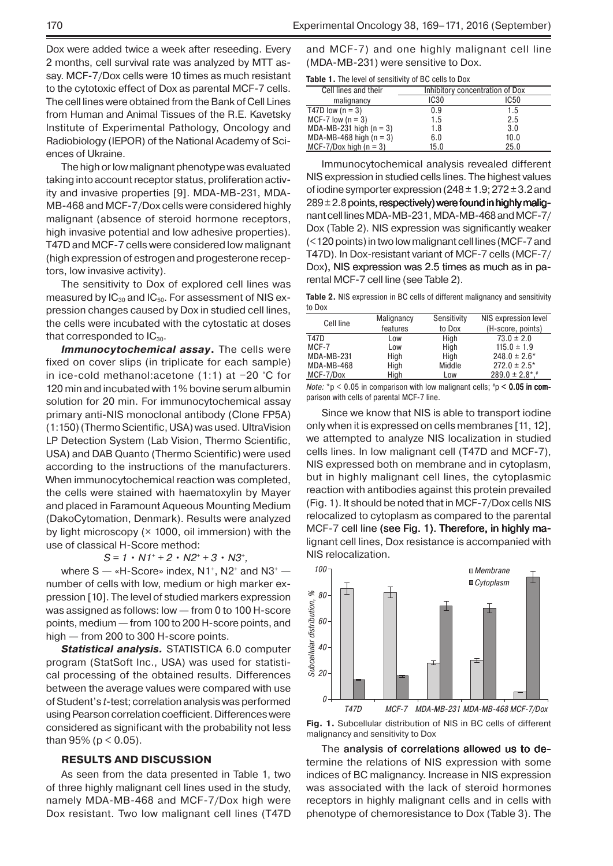Dox were added twice a week after reseeding. Every 2 months, cell survival rate was analyzed by MTT assay. MCF-7/Dox cells were 10 times as much resistant to the cytotoxic effect of Dox as parental MCF-7 cells. The cell lines were obtained from the Bank of Cell Lines from Human and Animal Tissues of the R.E. Kavetsky Institute of Experimental Pathology, Oncology and Radiobiology (IEPOR) of the National Academy of Sciences of Ukraine.

The high or low malignant phenotype was evaluated taking into account receptor status, proliferation activity and invasive properties [9]. MDA-MB-231, MDA-MB-468 and MCF-7/Dox cells were considered highly malignant (absence of steroid hormone receptors, high invasive potential and low adhesive properties). T47D and MCF-7 cells were considered low malignant (high expression of estrogen and progesterone receptors, low invasive activity).

The sensitivity to Dox of explored cell lines was measured by  $IC_{30}$  and  $IC_{50}$ . For assessment of NIS expression changes caused by Dox in studied cell lines, the cells were incubated with the cytostatic at doses that corresponded to  $IC_{30}$ .

**Immunocytochemical assay**. The cells were fixed on cover slips (in triplicate for each sample) in ice-cold methanol:acetone (1:1) at −20 °C for 120 min and incubated with 1% bovine serum albumin solution for 20 min. For immunocytochemical assay primary аnti-NIS monoclonal antibody (Clone FP5A) (1:150)(Thermo Scientific, USA) was used. UltraVision LP Detection System (Lab Vision, Thermo Scientific, USA) and DAB Quanto (Thermo Scientific) were used according to the instructions of the manufacturers. When immunocytochemical reaction was completed, the cells were stained with haematoxylin by Mayer and placed in Faramount Aqueous Mounting Medium (DakoCytomation, Denmark). Results were analyzed by light microscopy  $(x 1000, oil$  immersion) with the use of classical H-Score method:

 $S = 1 \cdot N1^+ + 2 \cdot N2^+ + 3 \cdot N3^+$ 

where  $S - *H$ -Score» index, N1<sup>+</sup>, N2<sup>+</sup> and N3<sup>+</sup>  $$ number of cells with low, medium or high marker expression [10]. The level of studied markers expression was assigned as follows: low — from 0 to 100 H-score points, medium — from 100 to 200 H-score points, and high — from 200 to 300 H-score points.

*Statistical analysis.* STATISTIСA 6.0 computer program (StatSoft Inc., USA) was used for statistical processing of the obtained results. Differences between the average values were compared with use of Student's *t*-test; correlation analysis was performed using Pearson correlation coefficient. Differences were considered as significant with the probability not less than 95% ( $p < 0.05$ ).

## **RESULTS AND DISCUSSION**

As seen from the data presented in Table 1, two of three highly malignant cell lines used in the study, namely MDA-MB-468 and MCF-7/Dox high were Dox resistant. Two low malignant cell lines (T47D and MCF‑7) and one highly malignant cell line (MDA-MB-231) were sensitive to Dox.

**Table 1.** The level of sensitivity of BC cells to Dox

| Cell lines and their        | Inhibitory concentration of Dox |                  |  |
|-----------------------------|---------------------------------|------------------|--|
| malignancy                  | <b>IC30</b>                     | IC <sub>50</sub> |  |
| T47D low $(n = 3)$          | 0.9                             | 1.5              |  |
| MCF-7 low $(n = 3)$         | 1.5                             | 2.5              |  |
| MDA-MB-231 high ( $n = 3$ ) | 1.8                             | 3.0              |  |
| MDA-MB-468 high $(n = 3)$   | 6.0                             | 10.0             |  |
| MCF-7/Dox high $(n = 3)$    | 15.0                            | 25.0             |  |

Immunocytochemical analysis revealed different NIS expression in studied cells lines. The highest values of iodine symporter expression ( $248 \pm 1.9$ ;  $272 \pm 3.2$  and  $289 \pm 2.8$  points, respectively) were found in highly malignant cell lines MDA-MB-231, MDA-MB-468and MCF-7/ Dox (Table 2). NIS expression was significantly weaker (<120 points) in two low malignant cell lines (MCF-7 and T47D). In Dox-resistant variant of MCF-7 cells (MCF-7/ Dox), NIS expression was 2.5 times as much as in parental MCF-7 cell line (see Table 2).

**Table 2.** NIS expression in BC cells of different malignancy and sensitivity to Dox

| NIS expression level              |
|-----------------------------------|
| (H-score, points)                 |
|                                   |
|                                   |
| $248.0 \pm 2.6*$                  |
| $272.0 \pm 2.5^*$                 |
| $289.0 \pm 2.8$ <sup>*</sup> .*   |
| $73.0 \pm 2.0$<br>$115.0 \pm 1.9$ |

*Note:*  $*$ p < 0.05 in comparison with low malignant cells;  $*$ p < **0.05 in com**parison with cells of parental MCF-7 line.

Since we know that NIS is able to transport iodine only when it is expressed on cells membranes [11, 12], we attempted to analyze NIS localization in studied cells lines. In low malignant cell (T47D and MCF-7), NIS expressed both on membrane and in cytoplasm, but in highly malignant cell lines, the cytoplasmic reaction with antibodies against this protein prevailed (Fig. 1). It should be noted that in MCF-7/Dox cells NIS relocalized to cytoplasm as compared to the parental MCF-7 cell line (see Fig. 1). Therefore, in highly malignant cell lines, Dox resistance is accompanied with NIS relocalization.



**Fig. 1.** Subcellular distribution of NIS in BC cells of different malignancy and sensitivity to Dox

The analysis of correlations allowed us to determine the relations of NIS expression with some indices of BC malignancy. Increase in NIS expression was associated with the lack of steroid hormones receptors in highly malignant cells and in cells with phenotype of chemoresistance to Dox (Table 3). The